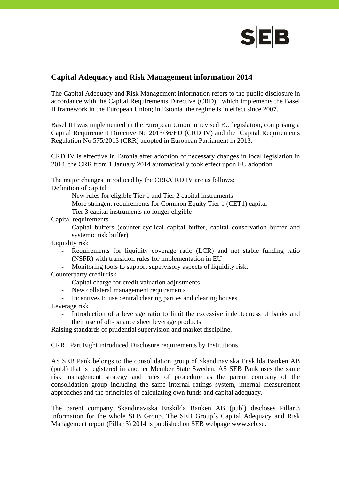

## **Capital Adequacy and Risk Management information 2014**

The Capital Adequacy and Risk Management information refers to the public disclosure in accordance with the Capital Requirements Directive (CRD), which implements the Basel II framework in the European Union; in Estonia the regime is in effect since 2007.

Basel III was implemented in the European Union in revised EU legislation, comprising a Capital Requirement Directive No 2013/36/EU (CRD IV) and the Capital Requirements Regulation No 575/2013 (CRR) adopted in European Parliament in 2013.

CRD IV is effective in Estonia after adoption of necessary changes in local legislation in 2014, the CRR from 1 January 2014 automatically took effect upon EU adoption.

The major changes introduced by the CRR/CRD IV are as follows: Definition of capital

- New rules for eligible Tier 1 and Tier 2 capital instruments
- More stringent requirements for Common Equity Tier 1 (CET1) capital
- Tier 3 capital instruments no longer eligible

Capital requirements

- Capital buffers (counter-cyclical capital buffer, capital conservation buffer and systemic risk buffer)

Liquidity risk

- Requirements for liquidity coverage ratio (LCR) and net stable funding ratio (NSFR) with transition rules for implementation in EU
- Monitoring tools to support supervisory aspects of liquidity risk.

Counterparty credit risk

- Capital charge for credit valuation adjustments
- New collateral management requirements<br>- Incentives to use central clearing parties as
- Incentives to use central clearing parties and clearing houses

Leverage risk

- Introduction of a leverage ratio to limit the excessive indebtedness of banks and their use of off-balance sheet leverage products

Raising standards of prudential supervision and market discipline.

CRR, Part Eight introduced Disclosure requirements by Institutions

AS SEB Pank belongs to the consolidation group of Skandinaviska Enskilda Banken AB (publ) that is registered in another Member State Sweden. AS SEB Pank uses the same risk management strategy and rules of procedure as the parent company of the consolidation group including the same internal ratings system, internal measurement approaches and the principles of calculating own funds and capital adequacy.

The parent company Skandinaviska Enskilda Banken AB (publ) discloses Pillar 3 information for the whole SEB Group. The SEB Group´s Capital Adequacy and Risk Management report (Pillar 3) 2014 is published on SEB webpage www.seb.se.